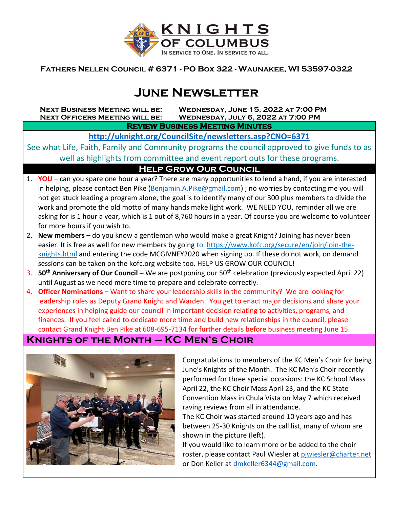

**Fathers Nellen Council # 6371 - PO Box 322 - Waunakee, WI 53597-0322**

# **June Newsletter**

**Next Business Meeting will be: Wednesday, June 15, 2022 at 7:00 PM Next Officers Meeting will be: Wednesday, July 6, 2022 at 7:00 PM**

**Review Business Meeting Minutes** 

**<http://uknight.org/CouncilSite/newsletters.asp?CNO=6371>**

See what Life, Faith, Family and Community programs the council approved to give funds to as well as highlights from committee and event report outs for these programs.

#### **Help Grow Our Council**

- 1. **YOU** can you spare one hour a year? There are many opportunities to lend a hand, if you are interested in helping, please contact Ben Pike [\(Benjamin.A.Pike@gmail.com\)](mailto:Benjamin.A.Pike@gmail.com) ; no worries by contacting me you will not get stuck leading a program alone, the goal is to identify many of our 300 plus members to divide the work and promote the old motto of many hands make light work. WE NEED YOU, reminder all we are asking for is 1 hour a year, which is 1 out of 8,760 hours in a year. Of course you are welcome to volunteer for more hours if you wish to.
- 2. **New members** do you know a gentleman who would make a great Knight? Joining has never been easier. It is free as well for new members by going to https://www.kofc.org/secure/en/join/join-theknights.html and entering the code MCGIVNEY2020 when signing up. If these do not work, on demand sessions can be taken on the kofc.org website too. HELP US GROW OUR COUNCIL!
- 3. **50th Anniversary of Our Council –** We are postponing our 50th celebration (previously expected April 22) until August as we need more time to prepare and celebrate correctly.
- 4. **Officer Nominations –** Want to share your leadership skills in the community? We are looking for leadership roles as Deputy Grand Knight and Warden. You get to enact major decisions and share your experiences in helping guide our council in important decision relating to activities, programs, and finances. If you feel called to dedicate more time and build new relationships in the council, please contact Grand Knight Ben Pike at 608-695-7134 for further details before business meeting June 15.

## **Knights of the Month – KC Men's Choir**



Congratulations to members of the KC Men's Choir for being June's Knights of the Month. The KC Men's Choir recently performed for three special occasions: the KC School Mass April 22, the KC Choir Mass April 23, and the KC State Convention Mass in Chula Vista on May 7 which received raving reviews from all in attendance.

The KC Choir was started around 10 years ago and has between 25-30 Knights on the call list, many of whom are shown in the picture (left).

If you would like to learn more or be added to the choir roster, please contact Paul Wiesler at [pjwiesler@charter.net](mailto:pjwiesler@charter.net) or Don Keller at [dmkeller6344@gmail.com.](mailto:dmkeller6344@gmail.com)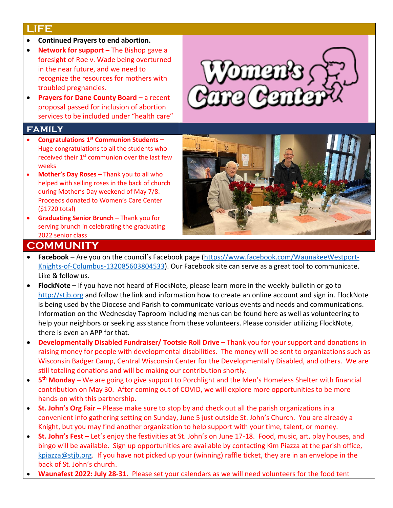#### **LIFE**

- **Continued Prayers to end abortion.**
- **Network for support** The Bishop gave a foresight of Roe v. Wade being overturned in the near future, and we need to recognize the resources for mothers with troubled pregnancies.
- **Prayers for Dane County Board a recent** proposal passed for inclusion of abortion services to be included under "health care"

#### **family**

- **Congratulations 1st Communion Students –** Huge congratulations to all the students who received their  $1<sup>st</sup>$  communion over the last few weeks
- **Mother's Day Roses –** Thank you to all who helped with selling roses in the back of church during Mother's Day weekend of May 7/8. Proceeds donated to Women's Care Center (\$1720 total)
- **Graduating Senior Brunch –** Thank you for serving brunch in celebrating the graduating 2022 senior class

# $\rm{mm}$



- **COMMUNITY** • **Facebook** – Are you on the council's Facebook page ([https://www.facebook.com/WaunakeeWestport-](https://www.facebook.com/WaunakeeWestport-Knights-of-Columbus-132085603804533)[Knights-of-Columbus-132085603804533\)](https://www.facebook.com/WaunakeeWestport-Knights-of-Columbus-132085603804533). Our Facebook site can serve as a great tool to communicate. Like & follow us.
- **FlockNote –** If you have not heard of FlockNote, please learn more in the weekly bulletin or go to [http://stjb.org](http://stjb.org/) and follow the link and information how to create an online account and sign in. FlockNote is being used by the Diocese and Parish to communicate various events and needs and communications. Information on the Wednesday Taproom including menus can be found here as well as volunteering to help your neighbors or seeking assistance from these volunteers. Please consider utilizing FlockNote, there is even an APP for that.
- **Developmentally Disabled Fundraiser/ Tootsie Roll Drive –** Thank you for your support and donations in raising money for people with developmental disabilities. The money will be sent to organizations such as Wisconsin Badger Camp, Central Wisconsin Center for the Developmentally Disabled, and others. We are still totaling donations and will be making our contribution shortly.
- **5 th Monday –** We are going to give support to Porchlight and the Men's Homeless Shelter with financial contribution on May 30. After coming out of COVID, we will explore more opportunities to be more hands-on with this partnership.
- **St. John's Org Fair –** Please make sure to stop by and check out all the parish organizations in a convenient info gathering setting on Sunday, June 5 just outside St. John's Church. You are already a Knight, but you may find another organization to help support with your time, talent, or money.
- **St. John's Fest –** Let's enjoy the festivities at St. John's on June 17-18. Food, music, art, play houses, and bingo will be available. Sign up opportunities are available by contacting Kim Piazza at the parish office, [kpiazza@stjb.org.](mailto:kpiazza@stjb.org) If you have not picked up your (winning) raffle ticket, they are in an envelope in the back of St. John's church.
- **Waunafest 2022: July 28-31.** Please set your calendars as we will need volunteers for the food tent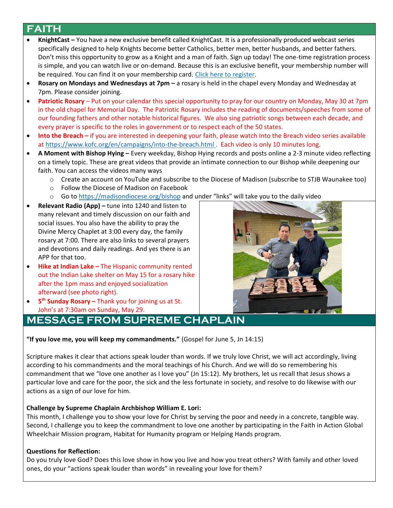### **FAITH**

- **KnightCast –** You have a new exclusive benefit called KnightCast. It is a professionally produced webcast series specifically designed to help Knights become better Catholics, better men, better husbands, and better fathers. Don't miss this opportunity to grow as a Knight and a man of faith. Sign up today! The one-time registration process is simple, and you can watch live or on-demand. Because this is an exclusive benefit, your membership number will be required. You can find it on your membership card. [Click here to register.](http://r20.rs6.net/tn.jsp?f=001jCyUlQNf2NYaesvIsZGohtJV8FYUlzxKVxZ4TE_GqJx4x8UOeaBY4rUuLhzP_glghLfKM5_382rpKDYv_Aa80-0rgcOydYGn-S09LhK1dJB4j67dzCsRdIaipRdXQq38HnewNnE5EbBzKFWZORzd-No8wZHWEge8BzaxWEZpbEKGLdvFeH-n48bkgoU9SIb0lScqvbuu3yw=&c=LHrS3DkFC5bHZA0GjSSuIuC_E5pyN9lvnmBDiD7weWhWcUZGR63uCA==&ch=SfWH1DEQS2YY5gq5hSKwQTKZmrmlVN3BB_qzJrdGde4vEnJZPn0onQ==)
- **Rosary on Mondays and Wednesdays at 7pm –** a rosary is held in the chapel every Monday and Wednesday at 7pm. Please consider joining.
- **Patriotic Rosary** Put on your calendar this special opportunity to pray for our country on Monday, May 30 at 7pm in the old chapel for Memorial Day. The Patriotic Rosary includes the reading of documents/speeches from some of our founding fathers and other notable historical figures. We also sing patriotic songs between each decade, and every prayer is specific to the roles in government or to respect each of the 50 states.
- **Into the Breach –** if you are interested in deepening your faith, please watch Into the Breach video series available at<https://www.kofc.org/en/campaigns/into-the-breach.html> . Each video is only 10 minutes long.
- **A Moment with Bishop Hying –** Every weekday, Bishop Hying records and posts online a 2-3 minute video reflecting on a timely topic. These are great videos that provide an intimate connection to our Bishop while deepening our faith. You can access the videos many ways
	- o Create an account on YouTube and subscribe to the Diocese of Madison (subscribe to STJB Waunakee too)
	- o Follow the Diocese of Madison on Facebook
	- o Go t[o https://madisondiocese.org/bishop](https://madisondiocese.org/bishop) and under "links" will take you to the daily video
- **Relevant Radio (App) –** tune into 1240 and listen to many relevant and timely discussion on our faith and social issues. You also have the ability to pray the Divine Mercy Chaplet at 3:00 every day, the family rosary at 7:00. There are also links to several prayers and devotions and daily readings. And yes there is an APP for that too.
- **Hike at Indian Lake –** The Hispanic community rented out the Indian Lake shelter on May 15 for a rosary hike after the 1pm mass and enjoyed socialization afterward (see photo right).
- **5 th Sunday Rosary –** Thank you for joining us at St. John's at 7:30am on Sunday, May 29.

# **MESSAGE FROM SUPREME CHAPLAIN**

**"If you love me, you will keep my commandments."** (Gospel for June 5, Jn 14:15)

Scripture makes it clear that actions speak louder than words. If we truly love Christ, we will act accordingly, living according to his commandments and the moral teachings of his Church. And we will do so remembering his commandment that we "love one another as I love you" (Jn 15:12). My brothers, let us recall that Jesus shows a particular love and care for the poor, the sick and the less fortunate in society, and resolve to do likewise with our actions as a sign of our love for him.

#### **Challenge by Supreme Chaplain Archbishop William E. Lori:**

This month, I challenge you to show your love for Christ by serving the poor and needy in a concrete, tangible way. Second, I challenge you to keep the commandment to love one another by participating in the Faith in Action Global Wheelchair Mission program, Habitat for Humanity program or Helping Hands program.

#### **Questions for Reflection:**

Do you truly love God? Does this love show in how you live and how you treat others? With family and other loved ones, do your "actions speak louder than words" in revealing your love for them?